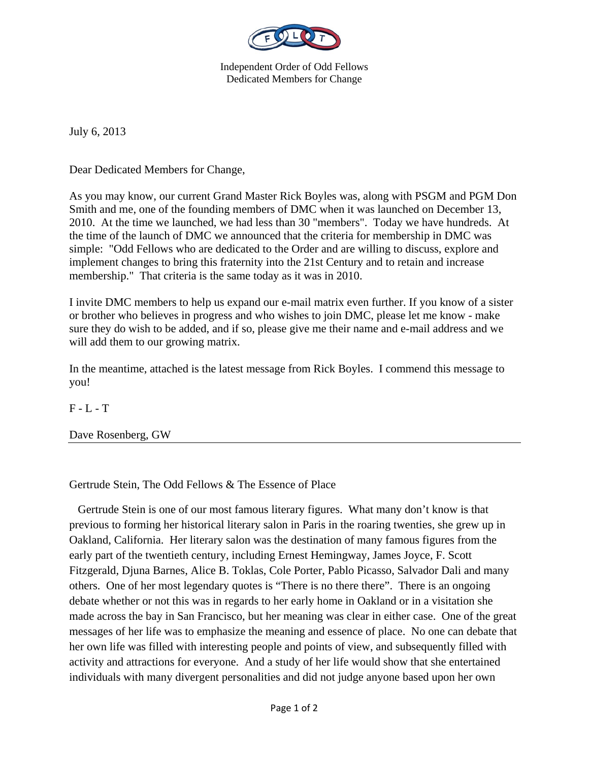

Independent Order of Odd Fellows Dedicated Members for Change

July 6, 2013

Dear Dedicated Members for Change,

As you may know, our current Grand Master Rick Boyles was, along with PSGM and PGM Don Smith and me, one of the founding members of DMC when it was launched on December 13, 2010. At the time we launched, we had less than 30 "members". Today we have hundreds. At the time of the launch of DMC we announced that the criteria for membership in DMC was simple: "Odd Fellows who are dedicated to the Order and are willing to discuss, explore and implement changes to bring this fraternity into the 21st Century and to retain and increase membership." That criteria is the same today as it was in 2010.

I invite DMC members to help us expand our e-mail matrix even further. If you know of a sister or brother who believes in progress and who wishes to join DMC, please let me know - make sure they do wish to be added, and if so, please give me their name and e-mail address and we will add them to our growing matrix.

In the meantime, attached is the latest message from Rick Boyles. I commend this message to you!

 $F - L - T$ 

Dave Rosenberg, GW

Gertrude Stein, The Odd Fellows & The Essence of Place

 Gertrude Stein is one of our most famous literary figures. What many don't know is that previous to forming her historical literary salon in Paris in the roaring twenties, she grew up in Oakland, California. Her literary salon was the destination of many famous figures from the early part of the twentieth century, including Ernest Hemingway, James Joyce, F. Scott Fitzgerald, Djuna Barnes, Alice B. Toklas, Cole Porter, Pablo Picasso, Salvador Dali and many others. One of her most legendary quotes is "There is no there there". There is an ongoing debate whether or not this was in regards to her early home in Oakland or in a visitation she made across the bay in San Francisco, but her meaning was clear in either case. One of the great messages of her life was to emphasize the meaning and essence of place. No one can debate that her own life was filled with interesting people and points of view, and subsequently filled with activity and attractions for everyone. And a study of her life would show that she entertained individuals with many divergent personalities and did not judge anyone based upon her own